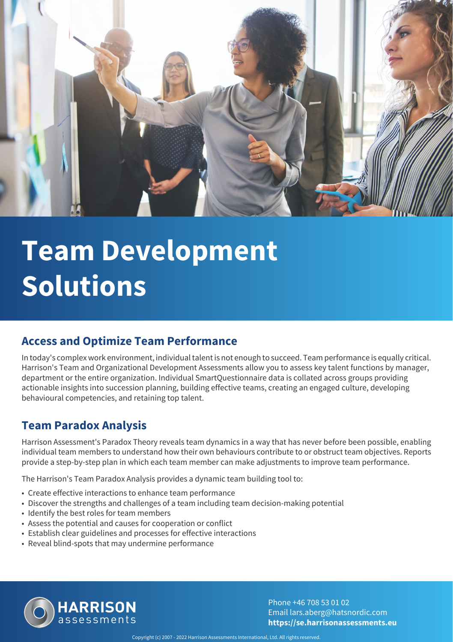

# **Team Development Solutions**

#### **Access and Optimize Team Performance**

In today's complex work environment, individual talent is not enough to succeed. Team performance is equally critical. Harrison's Team and Organizational Development Assessments allow you to assess key talent functions by manager, department or the entire organization. Individual SmartQuestionnaire data is collated across groups providing actionable insights into succession planning, building effective teams, creating an engaged culture, developing behavioural competencies, and retaining top talent.

#### **Team Paradox Analysis**

Harrison Assessment's Paradox Theory reveals team dynamics in a way that has never before been possible, enabling individual team members to understand how their own behaviours contribute to or obstruct team objectives. Reports provide a step-by-step plan in which each team member can make adjustments to improve team performance.

The Harrison's Team Paradox Analysis provides a dynamic team building tool to:

- Create effective interactions to enhance team performance
- Discover the strengths and challenges of a team including team decision-making potential
- Identify the best roles for team members
- Assess the potential and causes for cooperation or conflict
- Establish clear guidelines and processes for effective interactions
- Reveal blind-spots that may undermine performance



Phone +46 708 53 01 02 Email lars.aberg@hatsnordic.com **https://se.harrisonassessments.eu**